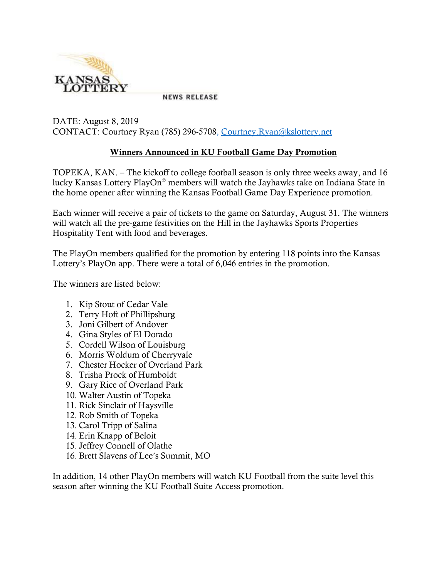

**NEWS RELEASE** 

DATE: August 8, 2019 CONTACT: Courtney Ryan (785) 296-5708, [Courtney.Ryan@kslottery.net](mailto:Courtney.Ryan@kslottery.net)

## **Winners Announced in KU Football Game Day Promotion**

TOPEKA, KAN. – The kickoff to college football season is only three weeks away, and 16 lucky Kansas Lottery PlayOn® members will watch the Jayhawks take on Indiana State in the home opener after winning the Kansas Football Game Day Experience promotion.

Each winner will receive a pair of tickets to the game on Saturday, August 31. The winners will watch all the pre-game festivities on the Hill in the Jayhawks Sports Properties Hospitality Tent with food and beverages.

The PlayOn members qualified for the promotion by entering 118 points into the Kansas Lottery's PlayOn app. There were a total of 6,046 entries in the promotion.

The winners are listed below:

- 1. Kip Stout of Cedar Vale
- 2. Terry Hoft of Phillipsburg
- 3. Joni Gilbert of Andover
- 4. Gina Styles of El Dorado
- 5. Cordell Wilson of Louisburg
- 6. Morris Woldum of Cherryvale
- 7. Chester Hocker of Overland Park
- 8. Trisha Prock of Humboldt
- 9. Gary Rice of Overland Park
- 10. Walter Austin of Topeka
- 11. Rick Sinclair of Haysville
- 12. Rob Smith of Topeka
- 13. Carol Tripp of Salina
- 14. Erin Knapp of Beloit
- 15. Jeffrey Connell of Olathe
- 16. Brett Slavens of Lee's Summit, MO

In addition, 14 other PlayOn members will watch KU Football from the suite level this season after winning the KU Football Suite Access promotion.